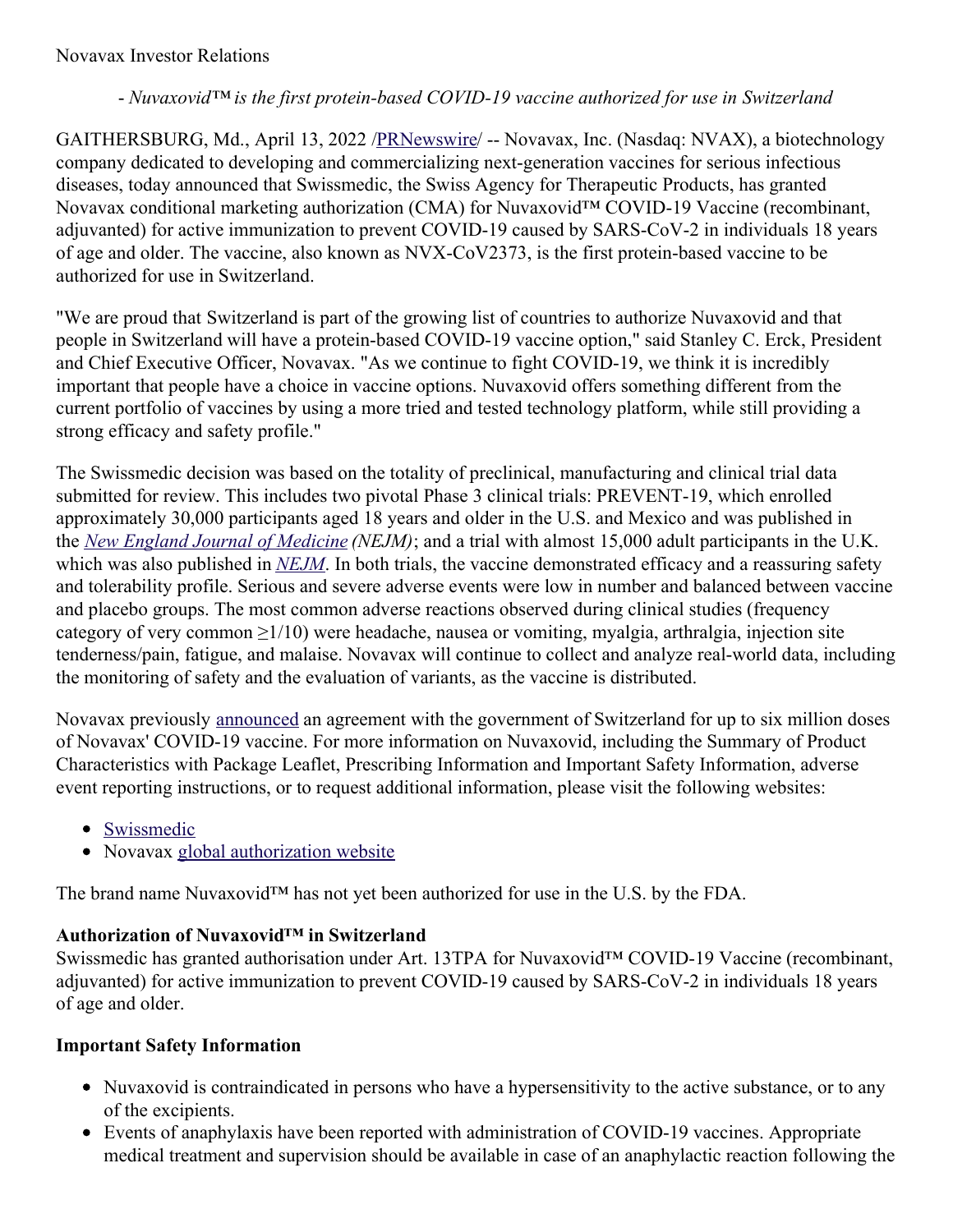### Novavax Investor Relations

#### - *Nuvaxovid™ is the first protein-based COVID-19 vaccine authorized for use in Switzerland*

GAITHERSBURG, Md., April 13, 2022 [/PRNewswire](http://www.prnewswire.com/)/ -- Novavax, Inc. (Nasdaq: NVAX), a biotechnology company dedicated to developing and commercializing next-generation vaccines for serious infectious diseases, today announced that Swissmedic, the Swiss Agency for Therapeutic Products, has granted Novavax conditional marketing authorization (CMA) for Nuvaxovid™ COVID-19 Vaccine (recombinant, adjuvanted) for active immunization to prevent COVID-19 caused by SARS-CoV-2 in individuals 18 years of age and older. The vaccine, also known as NVX-CoV2373, is the first protein-based vaccine to be authorized for use in Switzerland.

"We are proud that Switzerland is part of the growing list of countries to authorize Nuvaxovid and that people in Switzerland will have a protein-based COVID-19 vaccine option," said Stanley C. Erck, President and Chief Executive Officer, Novavax. "As we continue to fight COVID-19, we think it is incredibly important that people have a choice in vaccine options. Nuvaxovid offers something different from the current portfolio of vaccines by using a more tried and tested technology platform, while still providing a strong efficacy and safety profile."

The Swissmedic decision was based on the totality of preclinical, manufacturing and clinical trial data submitted for review. This includes two pivotal Phase 3 clinical trials: PREVENT-19, which enrolled approximately 30,000 participants aged 18 years and older in the U.S. and Mexico and was published in the *New England Journal of [Medicine](https://c212.net/c/link/?t=0&l=en&o=3503499-1&h=357488548&u=https%3A%2F%2Fc212.net%2Fc%2Flink%2F%3Ft%3D0%26l%3Den%26o%3D3407775-1%26h%3D907997649%26u%3Dhttps%253A%252F%252Fwww.nejm.org%252Fdoi%252Ffull%252F10.1056%252FNEJMoa2116185%253Fquery%253Dfeatured_home%26a%3DNew%2BEngland%2BJournal%2Bof%2BMedicine&a=New+England+Journal+of+Medicine) (NEJM)*; and a trial with almost 15,000 adult participants in the U.K. which was also published in *[NEJM](https://c212.net/c/link/?t=0&l=en&o=3503499-1&h=3448766932&u=https%3A%2F%2Fc212.net%2Fc%2Flink%2F%3Ft%3D0%26l%3Den%26o%3D3407775-1%26h%3D4200925079%26u%3Dhttps%253A%252F%252Fwww.nejm.org%252Fdoi%252Ffull%252F10.1056%252FNEJMoa2107659%26a%3DNEJM&a=NEJM)*. In both trials, the vaccine demonstrated efficacy and a reassuring safety and tolerability profile. Serious and severe adverse events were low in number and balanced between vaccine and placebo groups. The most common adverse reactions observed during clinical studies (frequency category of very common  $\geq 1/10$ ) were headache, nausea or vomiting, myalgia, arthralgia, injection site tenderness/pain, fatigue, and malaise. Novavax will continue to collect and analyze real-world data, including the monitoring of safety and the evaluation of variants, as the vaccine is distributed.

Novavax previously [announced](https://c212.net/c/link/?t=0&l=en&o=3503499-1&h=449046768&u=https%3A%2F%2Fir.novavax.com%2F2021-02-03-Novavax-and-Government-of-Switzerland-Announce-Agreement-in-Principle-to-Supply-COVID-19-Vaccine&a=announced) an agreement with the government of Switzerland for up to six million doses of Novavax' COVID-19 vaccine. For more information on Nuvaxovid, including the Summary of Product Characteristics with Package Leaflet, Prescribing Information and Important Safety Information, adverse event reporting instructions, or to request additional information, please visit the following websites:

- [Swissmedic](https://c212.net/c/link/?t=0&l=en&o=3503499-1&h=2436907283&u=https%3A%2F%2Fwww.swissmedic.ch%2Fswissmedic%2Fen%2Fhome%2Fnews%2Fcoronavirus-covid-19%2Fstand-zl-bekaempfung-covid-19.html&a=Swissmedic)
- Novavax global [authorization](https://c212.net/c/link/?t=0&l=en&o=3503499-1&h=500577916&u=https%3A%2F%2Fwww.novavaxcovidvaccine.com%2F&a=global+authorization+website) website

The brand name Nuvaxovid™ has not yet been authorized for use in the U.S. by the FDA.

### **Authorization of Nuvaxovid™ in Switzerland**

Swissmedic has granted authorisation under Art. 13TPA for Nuvaxovid™ COVID-19 Vaccine (recombinant, adjuvanted) for active immunization to prevent COVID-19 caused by SARS-CoV-2 in individuals 18 years of age and older.

### **Important Safety Information**

- Nuvaxovid is contraindicated in persons who have a hypersensitivity to the active substance, or to any of the excipients.
- Events of anaphylaxis have been reported with administration of COVID-19 vaccines. Appropriate medical treatment and supervision should be available in case of an anaphylactic reaction following the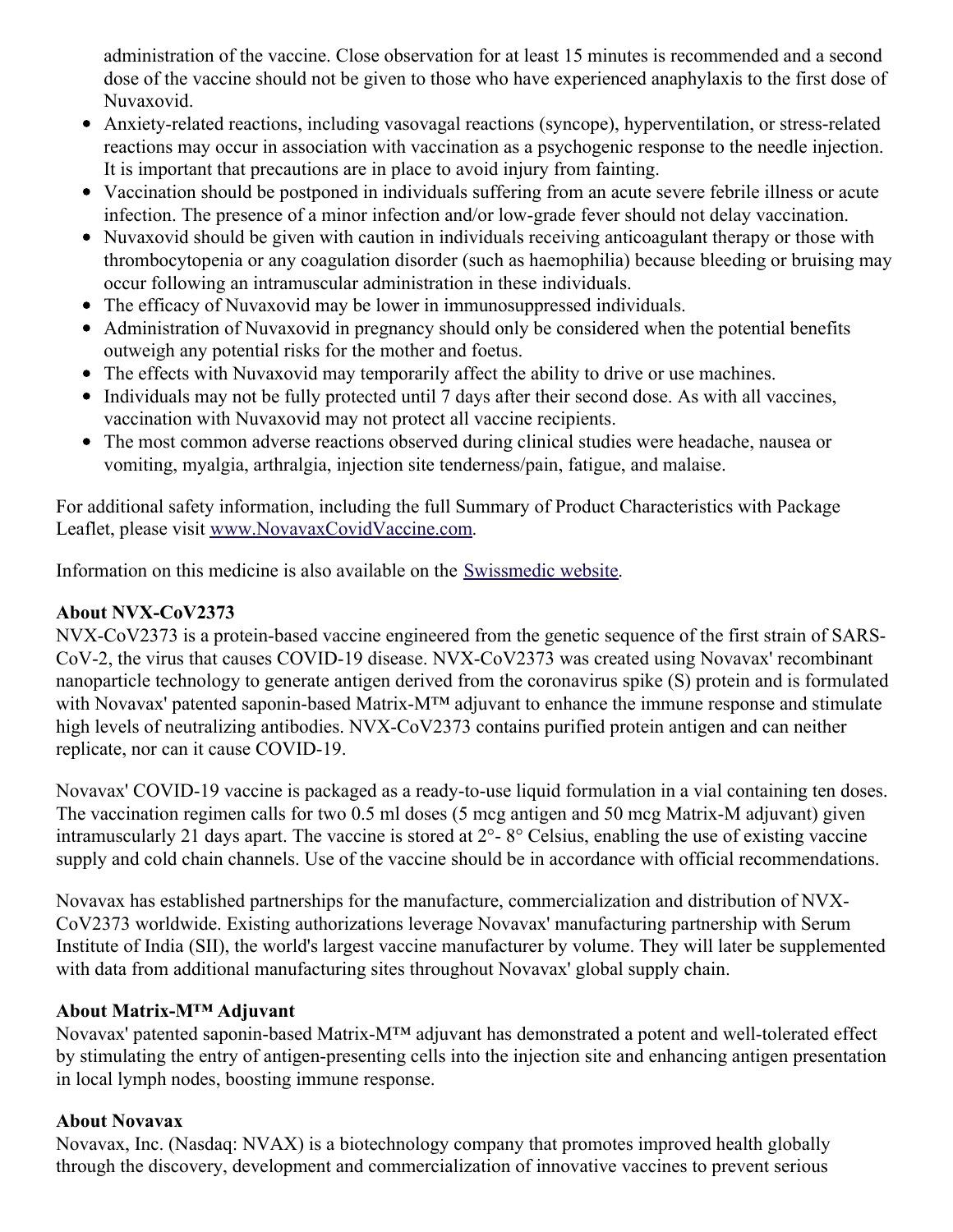administration of the vaccine. Close observation for at least 15 minutes is recommended and a second dose of the vaccine should not be given to those who have experienced anaphylaxis to the first dose of Nuvaxovid.

- Anxiety-related reactions, including vasovagal reactions (syncope), hyperventilation, or stress-related reactions may occur in association with vaccination as a psychogenic response to the needle injection. It is important that precautions are in place to avoid injury from fainting.
- Vaccination should be postponed in individuals suffering from an acute severe febrile illness or acute infection. The presence of a minor infection and/or low-grade fever should not delay vaccination.
- Nuvaxovid should be given with caution in individuals receiving anticoagulant therapy or those with thrombocytopenia or any coagulation disorder (such as haemophilia) because bleeding or bruising may occur following an intramuscular administration in these individuals.
- The efficacy of Nuvaxovid may be lower in immunosuppressed individuals.
- Administration of Nuvaxovid in pregnancy should only be considered when the potential benefits outweigh any potential risks for the mother and foetus.
- The effects with Nuvaxovid may temporarily affect the ability to drive or use machines.
- Individuals may not be fully protected until 7 days after their second dose. As with all vaccines, vaccination with Nuvaxovid may not protect all vaccine recipients.
- The most common adverse reactions observed during clinical studies were headache, nausea or vomiting, myalgia, arthralgia, injection site tenderness/pain, fatigue, and malaise.

For additional safety information, including the full Summary of Product Characteristics with Package Leaflet, please visit [www.NovavaxCovidVaccine.com](https://c212.net/c/link/?t=0&l=en&o=3503499-1&h=3221065977&u=http%3A%2F%2Fwww.novavaxcovidvaccine.com%2F&a=www.NovavaxCovidVaccine.com).

Information on this medicine is also available on the [Swissmedic](https://c212.net/c/link/?t=0&l=en&o=3503499-1&h=4011143554&u=https%3A%2F%2Fwww.swissmedic.ch%2Fswissmedic%2Fen%2Fhome%2Fnews%2Fcoronavirus-covid-19%2Fstand-zl-bekaempfung-covid-19.html&a=Swissmedic+website) website.

# **About NVX-CoV2373**

NVX-CoV2373 is a protein-based vaccine engineered from the genetic sequence of the first strain of SARS-CoV-2, the virus that causes COVID-19 disease. NVX-CoV2373 was created using Novavax' recombinant nanoparticle technology to generate antigen derived from the coronavirus spike (S) protein and is formulated with Novavax' patented saponin-based Matrix-M™ adjuvant to enhance the immune response and stimulate high levels of neutralizing antibodies. NVX-CoV2373 contains purified protein antigen and can neither replicate, nor can it cause COVID-19.

Novavax' COVID-19 vaccine is packaged as a ready-to-use liquid formulation in a vial containing ten doses. The vaccination regimen calls for two 0.5 ml doses (5 mcg antigen and 50 mcg Matrix-M adjuvant) given intramuscularly 21 days apart. The vaccine is stored at 2°- 8° Celsius, enabling the use of existing vaccine supply and cold chain channels. Use of the vaccine should be in accordance with official recommendations.

Novavax has established partnerships for the manufacture, commercialization and distribution of NVX-CoV2373 worldwide. Existing authorizations leverage Novavax' manufacturing partnership with Serum Institute of India (SII), the world's largest vaccine manufacturer by volume. They will later be supplemented with data from additional manufacturing sites throughout Novavax' global supply chain.

## **About Matrix-M™ Adjuvant**

Novavax' patented saponin-based Matrix-M™ adjuvant has demonstrated a potent and well-tolerated effect by stimulating the entry of antigen-presenting cells into the injection site and enhancing antigen presentation in local lymph nodes, boosting immune response.

## **About Novavax**

Novavax, Inc. (Nasdaq: NVAX) is a biotechnology company that promotes improved health globally through the discovery, development and commercialization of innovative vaccines to prevent serious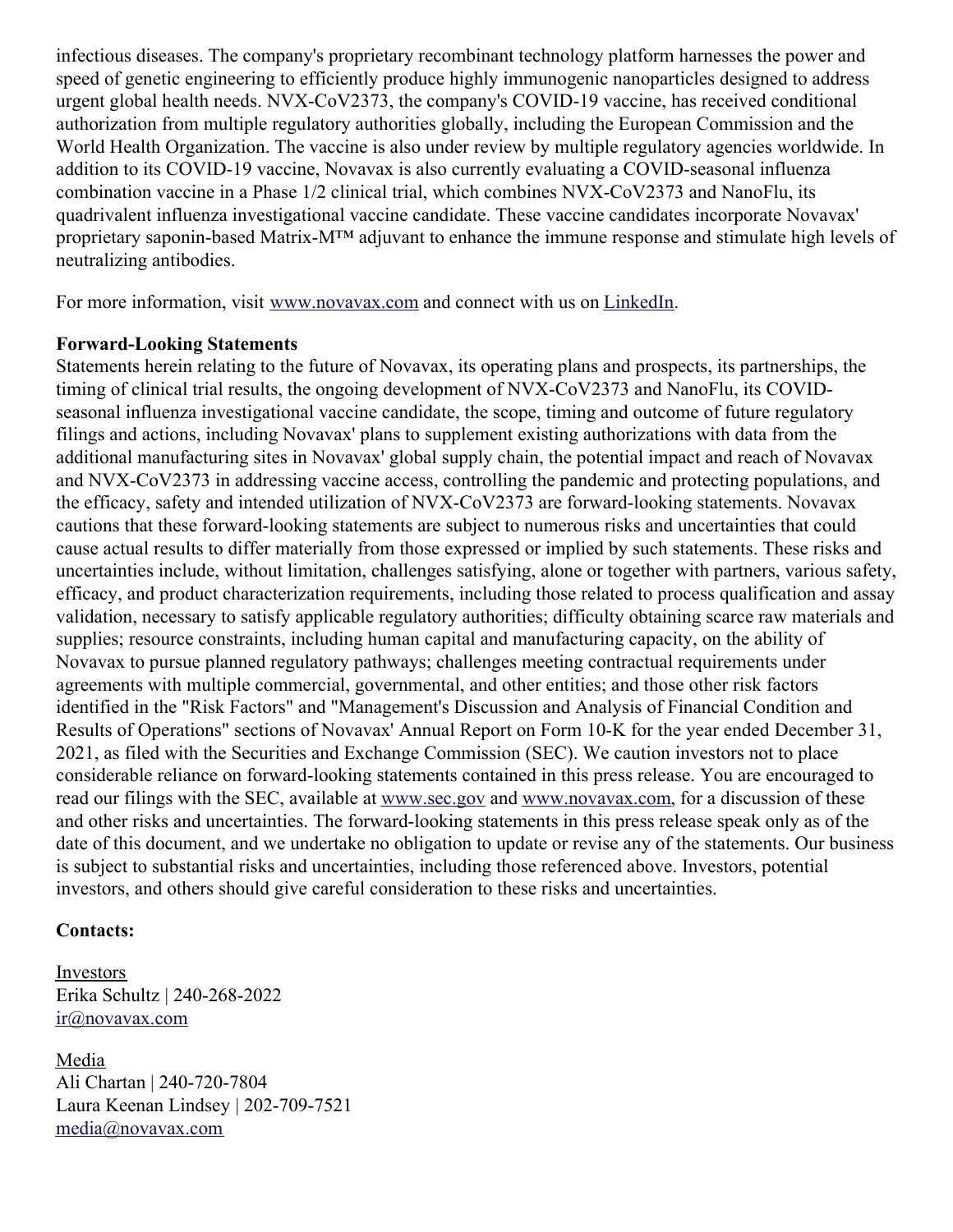infectious diseases. The company's proprietary recombinant technology platform harnesses the power and speed of genetic engineering to efficiently produce highly immunogenic nanoparticles designed to address urgent global health needs. NVX-CoV2373, the company's COVID-19 vaccine, has received conditional authorization from multiple regulatory authorities globally, including the European Commission and the World Health Organization. The vaccine is also under review by multiple regulatory agencies worldwide. In addition to its COVID-19 vaccine, Novavax is also currently evaluating a COVID-seasonal influenza combination vaccine in a Phase 1/2 clinical trial, which combines NVX-CoV2373 and NanoFlu, its quadrivalent influenza investigational vaccine candidate. These vaccine candidates incorporate Novavax' proprietary saponin-based Matrix-M™ adjuvant to enhance the immune response and stimulate high levels of neutralizing antibodies.

For more information, visit [www.novavax.com](https://c212.net/c/link/?t=0&l=en&o=3503499-1&h=681048629&u=https%3A%2F%2Fc212.net%2Fc%2Flink%2F%3Ft%3D0%26l%3Den%26o%3D3395501-1%26h%3D2463599076%26u%3Dhttps%253A%252F%252Fc212.net%252Fc%252Flink%252F%253Ft%253D0%2526l%253Den%2526o%253D3392093-1%2526h%253D203886192%2526u%253Dhttps%25253A%25252F%25252Fc212.net%25252Fc%25252Flink%25252F%25253Ft%25253D0%252526l%25253Den%252526o%25253D3387216-1%252526h%25253D3917401194%252526u%25253Dhttps%2525253A%2525252F%2525252Fc212.net%2525252Fc%2525252Flink%2525252F%2525253Ft%2525253D0%25252526l%2525253Den%25252526o%2525253D3260461-1%25252526h%2525253D2897486098%25252526u%2525253Dhttp%252525253A%252525252F%252525252Fwww.novavax.com%252525252F%25252526a%2525253Dwww.novavax.com%252526a%25253Dwww.novavax.com%2526a%253Dwww.novavax.com%26a%3Dwww.novavax.com&a=www.novavax.com) and connect with us on [LinkedIn](https://c212.net/c/link/?t=0&l=en&o=3503499-1&h=1714573962&u=https%3A%2F%2Fc212.net%2Fc%2Flink%2F%3Ft%3D0%26l%3Den%26o%3D3395501-1%26h%3D853375093%26u%3Dhttps%253A%252F%252Fc212.net%252Fc%252Flink%252F%253Ft%253D0%2526l%253Den%2526o%253D3392093-1%2526h%253D1325598136%2526u%253Dhttps%25253A%25252F%25252Fc212.net%25252Fc%25252Flink%25252F%25253Ft%25253D0%252526l%25253Den%252526o%25253D3387216-1%252526h%25253D2935962557%252526u%25253Dhttps%2525253A%2525252F%2525252Fc212.net%2525252Fc%2525252Flink%2525252F%2525253Ft%2525253D0%25252526l%2525253Den%25252526o%2525253D3260461-1%25252526h%2525253D1508558197%25252526u%2525253Dhttps%252525253A%252525252F%252525252Fc212.net%252525252Fc%252525252Flink%252525252F%252525253Ft%252525253D0%2525252526l%252525253Den%2525252526o%252525253D3158017-1%2525252526h%252525253D3702938248%2525252526u%252525253Dhttps%25252525253A%25252525252F%25252525252Fwww.linkedin.com%25252525252Fcompany%25252525252Fnovavax%25252525252F%2525252526a%252525253DLinkedIn%25252526a%2525253DLinkedIn%252526a%25253DLinkedIn%2526a%253DLinkedIn%26a%3DLinkedIn&a=LinkedIn).

#### **Forward-Looking Statements**

Statements herein relating to the future of Novavax, its operating plans and prospects, its partnerships, the timing of clinical trial results, the ongoing development of NVX-CoV2373 and NanoFlu, its COVIDseasonal influenza investigational vaccine candidate, the scope, timing and outcome of future regulatory filings and actions, including Novavax' plans to supplement existing authorizations with data from the additional manufacturing sites in Novavax' global supply chain, the potential impact and reach of Novavax and NVX-CoV2373 in addressing vaccine access, controlling the pandemic and protecting populations, and the efficacy, safety and intended utilization of NVX-CoV2373 are forward-looking statements. Novavax cautions that these forward-looking statements are subject to numerous risks and uncertainties that could cause actual results to differ materially from those expressed or implied by such statements. These risks and uncertainties include, without limitation, challenges satisfying, alone or together with partners, various safety, efficacy, and product characterization requirements, including those related to process qualification and assay validation, necessary to satisfy applicable regulatory authorities; difficulty obtaining scarce raw materials and supplies; resource constraints, including human capital and manufacturing capacity, on the ability of Novavax to pursue planned regulatory pathways; challenges meeting contractual requirements under agreements with multiple commercial, governmental, and other entities; and those other risk factors identified in the "Risk Factors" and "Management's Discussion and Analysis of Financial Condition and Results of Operations" sections of Novavax' Annual Report on Form 10-K for the year ended December 31, 2021, as filed with the Securities and Exchange Commission (SEC). We caution investors not to place considerable reliance on forward-looking statements contained in this press release. You are encouraged to read our filings with the SEC, available at [www.sec.gov](https://c212.net/c/link/?t=0&l=en&o=3503499-1&h=3267037930&u=http%3A%2F%2Fwww.sec.gov%2F&a=www.sec.gov) and [www.novavax.com](https://c212.net/c/link/?t=0&l=en&o=3503499-1&h=3347142266&u=http%3A%2F%2Fwww.novavax.com%2F&a=www.novavax.com), for a discussion of these and other risks and uncertainties. The forward-looking statements in this press release speak only as of the date of this document, and we undertake no obligation to update or revise any of the statements. Our business is subject to substantial risks and uncertainties, including those referenced above. Investors, potential investors, and others should give careful consideration to these risks and uncertainties.

#### **Contacts:**

Investors Erika Schultz | 240-268-2022 [ir@novavax.com](mailto:ir@novavax.com)

Media Ali Chartan | 240-720-7804 Laura Keenan Lindsey | 202-709-7521 [media@novavax.com](mailto:media@novavax.com)